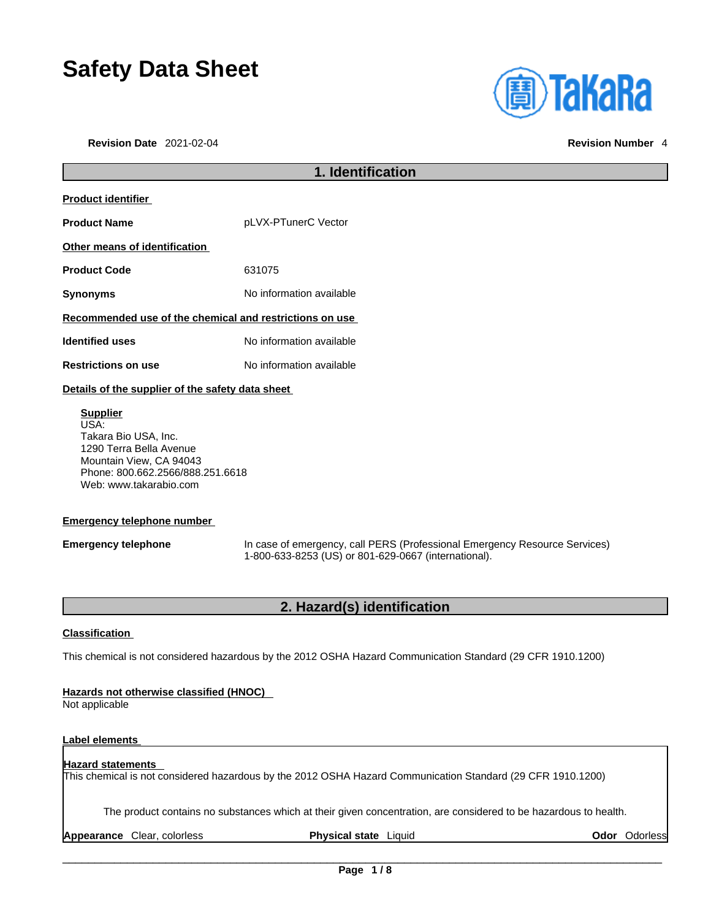# **Safety Data Sheet**

**Revision Date** 2021-02-04 **Revision Number** 4



# **1. Identification Product identifier Product Name** pLVX-PTunerC Vector **Other means of identification Product Code** 631075 **Synonyms** No information available **Recommended use of the chemical and restrictions on use Identified uses** No information available **Restrictions on use** No information available **Details of the supplier of the safety data sheet Supplier**

USA: Takara Bio USA, Inc. 1290 Terra Bella Avenue Mountain View, CA 94043 Phone: 800.662.2566/888.251.6618 Web: www.takarabio.com

### **Emergency telephone number**

**Emergency telephone** In case of emergency, call PERS (Professional Emergency Resource Services) 1-800-633-8253 (US) or 801-629-0667 (international).

### **2. Hazard(s) identification**

### **Classification**

This chemical is not considered hazardous by the 2012 OSHA Hazard Communication Standard (29 CFR 1910.1200)

### **Hazards not otherwise classified (HNOC)**

Not applicable

### **Label elements**

### **Hazard statements**  This chemical is not considered hazardous by the 2012 OSHA Hazard Communication Standard (29 CFR 1910.1200)

The product contains no substances which at their given concentration, are considered to be hazardous to health.

**Appearance** Clear, colorless **Physical state** Liquid **Odor** Odorless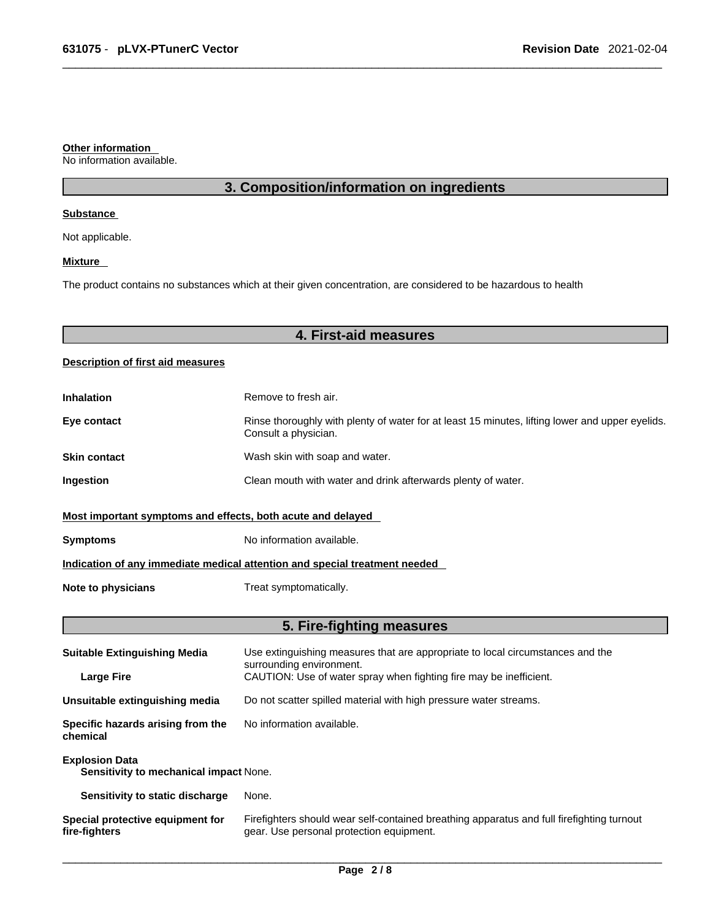#### **Other information**

No information available.

### **3. Composition/information on ingredients**

### **Substance**

Not applicable.

### **Mixture**

The product contains no substances which at their given concentration, are considered to be hazardous to health

### **4. First-aid measures**

### **Description of first aid measures**

| <b>Inhalation</b>                                                          | Remove to fresh air.                                                                                                    |  |
|----------------------------------------------------------------------------|-------------------------------------------------------------------------------------------------------------------------|--|
| Eye contact                                                                | Rinse thoroughly with plenty of water for at least 15 minutes, lifting lower and upper eyelids.<br>Consult a physician. |  |
| <b>Skin contact</b>                                                        | Wash skin with soap and water.                                                                                          |  |
| Ingestion                                                                  | Clean mouth with water and drink afterwards plenty of water.                                                            |  |
| Most important symptoms and effects, both acute and delayed                |                                                                                                                         |  |
| <b>Symptoms</b>                                                            | No information available.                                                                                               |  |
| Indication of any immediate medical attention and special treatment needed |                                                                                                                         |  |
| Note to physicians                                                         | Treat symptomatically.                                                                                                  |  |

### **5. Fire-fighting measures**

| <b>Suitable Extinguishing Media</b>                             | Use extinguishing measures that are appropriate to local circumstances and the<br>surrounding environment.                            |  |
|-----------------------------------------------------------------|---------------------------------------------------------------------------------------------------------------------------------------|--|
| <b>Large Fire</b>                                               | CAUTION: Use of water spray when fighting fire may be inefficient.                                                                    |  |
| Unsuitable extinguishing media                                  | Do not scatter spilled material with high pressure water streams.                                                                     |  |
| Specific hazards arising from the<br>chemical                   | No information available.                                                                                                             |  |
| <b>Explosion Data</b><br>Sensitivity to mechanical impact None. |                                                                                                                                       |  |
| Sensitivity to static discharge                                 | None.                                                                                                                                 |  |
| Special protective equipment for<br>fire-fighters               | Firefighters should wear self-contained breathing apparatus and full firefighting turnout<br>gear. Use personal protection equipment. |  |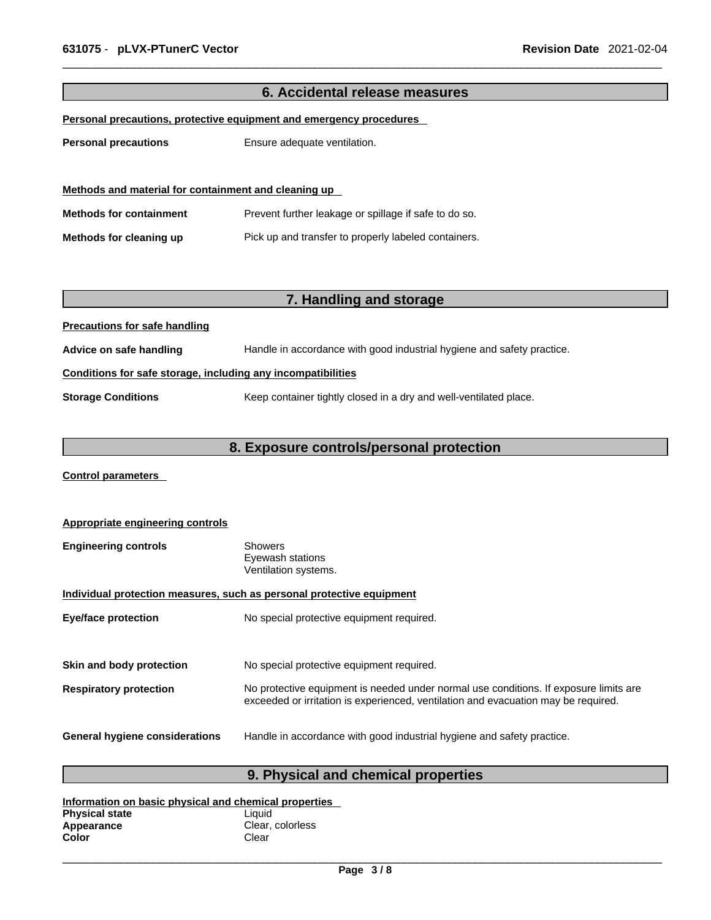| 6. Accidental release measures                                      |                                                                        |  |
|---------------------------------------------------------------------|------------------------------------------------------------------------|--|
| Personal precautions, protective equipment and emergency procedures |                                                                        |  |
| <b>Personal precautions</b>                                         | Ensure adequate ventilation.                                           |  |
| Methods and material for containment and cleaning up                |                                                                        |  |
| <b>Methods for containment</b>                                      | Prevent further leakage or spillage if safe to do so.                  |  |
| Methods for cleaning up                                             | Pick up and transfer to properly labeled containers.                   |  |
|                                                                     |                                                                        |  |
|                                                                     |                                                                        |  |
|                                                                     | 7. Handling and storage                                                |  |
| <b>Precautions for safe handling</b>                                |                                                                        |  |
| Advice on safe handling                                             | Handle in accordance with good industrial hygiene and safety practice. |  |
| Conditions for safe storage, including any incompatibilities        |                                                                        |  |
| <b>Storage Conditions</b>                                           | Keep container tightly closed in a dry and well-ventilated place.      |  |
|                                                                     |                                                                        |  |
| 8. Exposure controls/personal protection                            |                                                                        |  |
| <b>Control parameters</b>                                           |                                                                        |  |

| Appropriate engineering controls                                      |                                                                                                                                                                             |  |
|-----------------------------------------------------------------------|-----------------------------------------------------------------------------------------------------------------------------------------------------------------------------|--|
| <b>Engineering controls</b>                                           | <b>Showers</b><br>Eyewash stations<br>Ventilation systems.                                                                                                                  |  |
| Individual protection measures, such as personal protective equipment |                                                                                                                                                                             |  |
| <b>Eye/face protection</b>                                            | No special protective equipment required.                                                                                                                                   |  |
|                                                                       |                                                                                                                                                                             |  |
| Skin and body protection                                              | No special protective equipment required.                                                                                                                                   |  |
| <b>Respiratory protection</b>                                         | No protective equipment is needed under normal use conditions. If exposure limits are<br>exceeded or irritation is experienced, ventilation and evacuation may be required. |  |
| <b>General hygiene considerations</b>                                 | Handle in accordance with good industrial hygiene and safety practice.                                                                                                      |  |

## **9. Physical and chemical properties**

| Information on basic physical and chemical properties |                  |  |
|-------------------------------------------------------|------------------|--|
| <b>Physical state</b>                                 | Liauid           |  |
| Appearance                                            | Clear, colorless |  |
| Color                                                 | Clear            |  |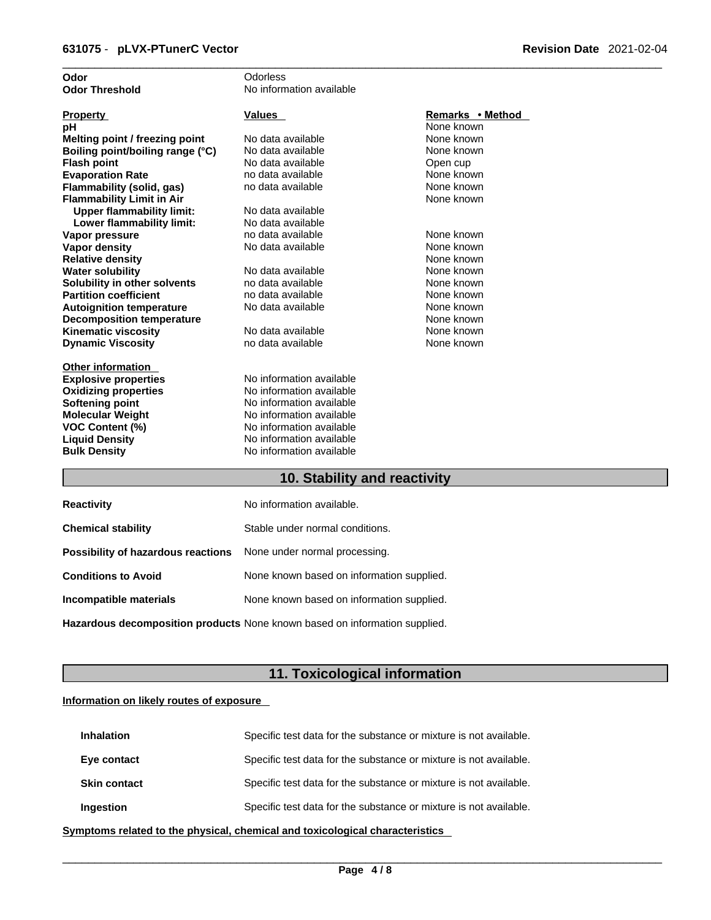| Odor                             | Odorless                 |                  |
|----------------------------------|--------------------------|------------------|
| <b>Odor Threshold</b>            | No information available |                  |
|                                  |                          |                  |
| <b>Property</b>                  | <b>Values</b>            | Remarks • Method |
| рH                               |                          | None known       |
| Melting point / freezing point   | No data available        | None known       |
| Boiling point/boiling range (°C) | No data available        | None known       |
| <b>Flash point</b>               | No data available        | Open cup         |
| <b>Evaporation Rate</b>          | no data available        | None known       |
| Flammability (solid, gas)        | no data available        | None known       |
| <b>Flammability Limit in Air</b> |                          | None known       |
| <b>Upper flammability limit:</b> | No data available        |                  |
| Lower flammability limit:        | No data available        |                  |
| Vapor pressure                   | no data available        | None known       |
| <b>Vapor density</b>             | No data available        | None known       |
| <b>Relative density</b>          |                          | None known       |
| <b>Water solubility</b>          | No data available        | None known       |
| Solubility in other solvents     | no data available        | None known       |
| <b>Partition coefficient</b>     | no data available        | None known       |
| <b>Autoignition temperature</b>  | No data available        | None known       |
| <b>Decomposition temperature</b> |                          | None known       |
| <b>Kinematic viscosity</b>       | No data available        | None known       |
| <b>Dynamic Viscosity</b>         | no data available        | None known       |
|                                  |                          |                  |
| <b>Other information</b>         |                          |                  |
| <b>Explosive properties</b>      | No information available |                  |
| <b>Oxidizing properties</b>      | No information available |                  |
| Softening point                  | No information available |                  |
| <b>Molecular Weight</b>          | No information available |                  |
| VOC Content (%)                  | No information available |                  |
| <b>Liquid Density</b>            | No information available |                  |
| <b>Bulk Density</b>              | No information available |                  |
|                                  |                          |                  |

### **10. Stability and reactivity**

| <b>Reactivity</b>                                                       | No information available.                 |
|-------------------------------------------------------------------------|-------------------------------------------|
| <b>Chemical stability</b>                                               | Stable under normal conditions.           |
| <b>Possibility of hazardous reactions</b> None under normal processing. |                                           |
| <b>Conditions to Avoid</b>                                              | None known based on information supplied. |
| Incompatible materials                                                  | None known based on information supplied. |
|                                                                         |                                           |

**Hazardous decomposition products** None known based on information supplied.

### **11. Toxicological information**

### **Information on likely routes of exposure**

| <b>Inhalation</b>   | Specific test data for the substance or mixture is not available. |
|---------------------|-------------------------------------------------------------------|
| Eye contact         | Specific test data for the substance or mixture is not available. |
| <b>Skin contact</b> | Specific test data for the substance or mixture is not available. |
| Ingestion           | Specific test data for the substance or mixture is not available. |

**<u>Symptoms related to the physical, chemical and toxicological characteristics</u>**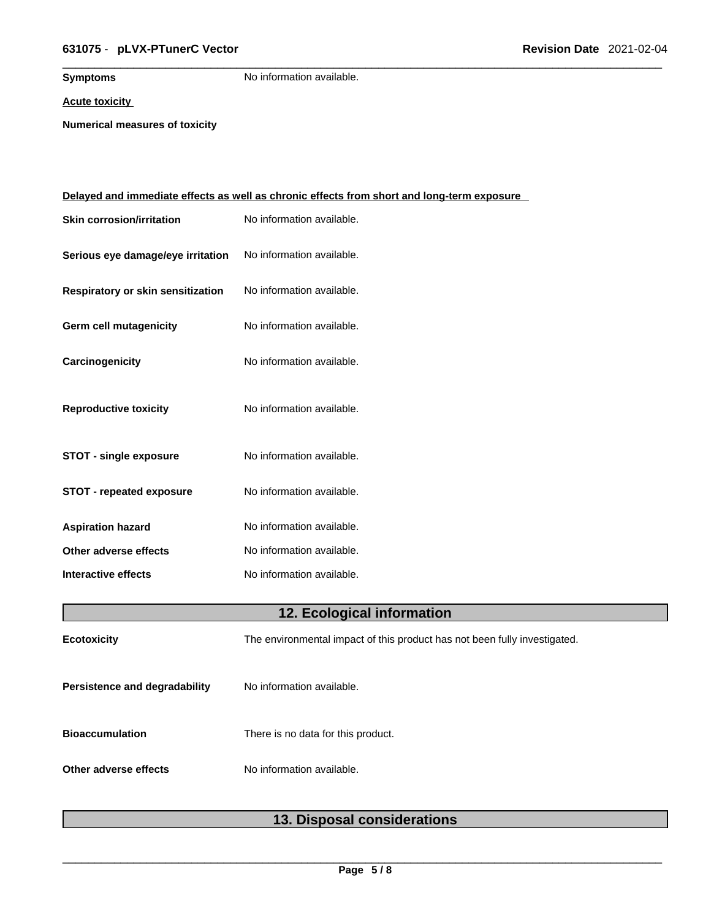### \_\_\_\_\_\_\_\_\_\_\_\_\_\_\_\_\_\_\_\_\_\_\_\_\_\_\_\_\_\_\_\_\_\_\_\_\_\_\_\_\_\_\_\_\_\_\_\_\_\_\_\_\_\_\_\_\_\_\_\_\_\_\_\_\_\_\_\_\_\_\_\_\_\_\_\_\_\_\_\_\_\_\_\_\_\_\_\_\_\_\_\_\_ **631075** - **pLVX-PTunerC Vector Revision Date** 2021-02-04

**Symptoms** No information available.

**Acute toxicity**

**Numerical measures of toxicity**

|                                   | <u>Delayed and immediate effects as well as chronic effects from short and long-term exposure</u> |
|-----------------------------------|---------------------------------------------------------------------------------------------------|
| <b>Skin corrosion/irritation</b>  | No information available.                                                                         |
| Serious eye damage/eye irritation | No information available.                                                                         |
| Respiratory or skin sensitization | No information available.                                                                         |
| Germ cell mutagenicity            | No information available.                                                                         |
| Carcinogenicity                   | No information available.                                                                         |
| <b>Reproductive toxicity</b>      | No information available.                                                                         |
| <b>STOT - single exposure</b>     | No information available.                                                                         |
| <b>STOT - repeated exposure</b>   | No information available.                                                                         |
| <b>Aspiration hazard</b>          | No information available.                                                                         |
| Other adverse effects             | No information available.                                                                         |
| <b>Interactive effects</b>        | No information available.                                                                         |
|                                   | 12. Ecological information                                                                        |
| Ecotoxicity                       | The environmental impact of this product has not been fully investigated.                         |
| Persistence and degradability     | No information available.                                                                         |
| <b>Bioaccumulation</b>            | There is no data for this product.                                                                |
| Other adverse effects             | No information available.                                                                         |
|                                   |                                                                                                   |

### **13. Disposal considerations**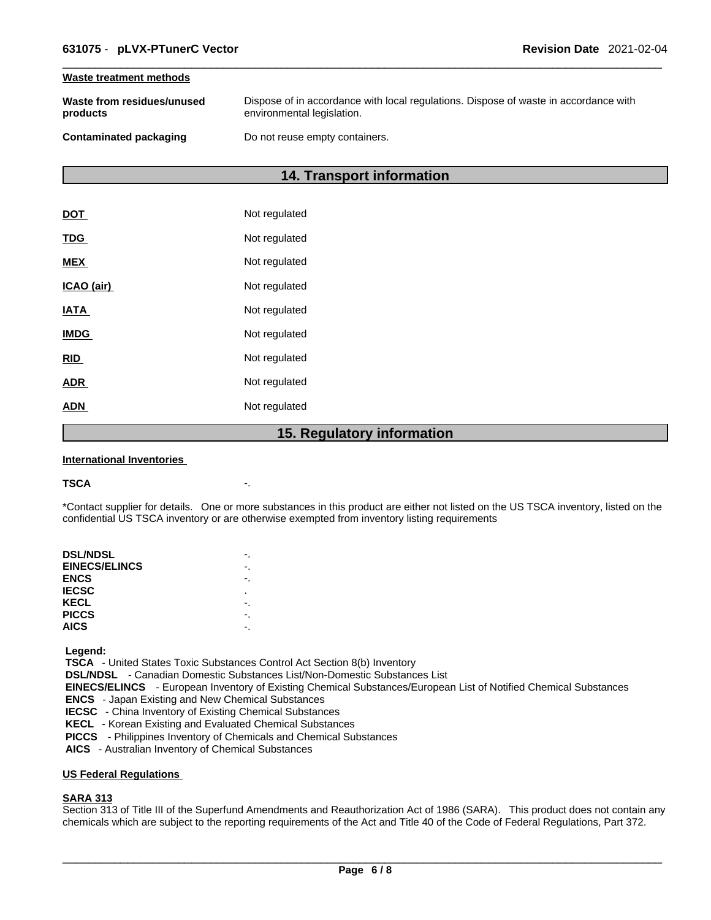#### **Waste treatment methods**

| Waste from residues/unused | Dispose of in accordance with local regulations. Dispose of waste in accordance with |
|----------------------------|--------------------------------------------------------------------------------------|
| products                   | environmental legislation.                                                           |
| Contaminated packaging     | Do not reuse empty containers.                                                       |

### **14. Transport information**

|             | 1 F<br><b>Dogulator</b> |
|-------------|-------------------------|
| <b>ADN</b>  | Not regulated           |
| <b>ADR</b>  | Not regulated           |
| <b>RID</b>  | Not regulated           |
| <b>IMDG</b> | Not regulated           |
| <b>IATA</b> | Not regulated           |
| ICAO (air)  | Not regulated           |
| <b>MEX</b>  | Not regulated           |
| <b>TDG</b>  | Not regulated           |
| <b>DOT</b>  | Not regulated           |

### **15. Regulatory information**

#### **International Inventories**

#### **TSCA** -.

\*Contact supplier for details. One or more substances in this product are either not listed on the US TSCA inventory, listed on the confidential US TSCA inventory or are otherwise exempted from inventory listing requirements

| <b>DSL/NDSL</b>      |   |
|----------------------|---|
| <b>EINECS/ELINCS</b> |   |
| <b>ENCS</b>          |   |
| <b>IECSC</b>         | ٠ |
| KECL                 |   |
| <b>PICCS</b>         |   |
| <b>AICS</b>          |   |
|                      |   |

 **Legend:** 

 **TSCA** - United States Toxic Substances Control Act Section 8(b) Inventory

 **DSL/NDSL** - Canadian Domestic Substances List/Non-Domestic Substances List

 **EINECS/ELINCS** - European Inventory of Existing Chemical Substances/European List of Notified Chemical Substances

 **ENCS** - Japan Existing and New Chemical Substances

 **IECSC** - China Inventory of Existing Chemical Substances

 **KECL** - Korean Existing and Evaluated Chemical Substances

 **PICCS** - Philippines Inventory of Chemicals and Chemical Substances

 **AICS** - Australian Inventory of Chemical Substances

### **US Federal Regulations**

### **SARA 313**

Section 313 of Title III of the Superfund Amendments and Reauthorization Act of 1986 (SARA). This product does not contain any chemicals which are subject to the reporting requirements of the Act and Title 40 of the Code of Federal Regulations, Part 372.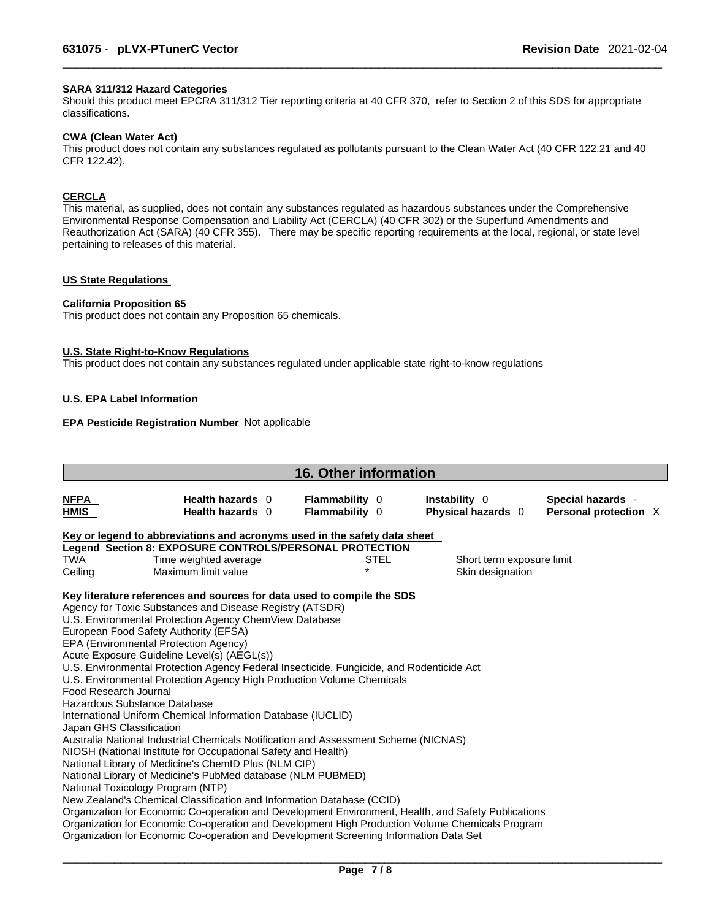### **SARA 311/312 Hazard Categories**

Should this product meet EPCRA 311/312 Tier reporting criteria at 40 CFR 370, refer to Section 2 of this SDS for appropriate classifications.

#### **CWA (Clean WaterAct)**

This product does not contain any substances regulated as pollutants pursuant to the Clean Water Act (40 CFR 122.21 and 40 CFR 122.42).

### **CERCLA**

This material, as supplied, does not contain any substances regulated as hazardous substances under the Comprehensive Environmental Response Compensation and Liability Act (CERCLA) (40 CFR 302) or the Superfund Amendments and Reauthorization Act (SARA) (40 CFR 355). There may be specific reporting requirements at the local, regional, or state level pertaining to releases of this material.

### **US State Regulations**

#### **California Proposition 65**

This product does not contain any Proposition 65 chemicals.

#### **U.S. State Right-to-Know Regulations**

This product does not contain any substances regulated under applicable state right-to-know regulations

### **U.S. EPA Label Information**

### **EPA Pesticide Registration Number** Not applicable